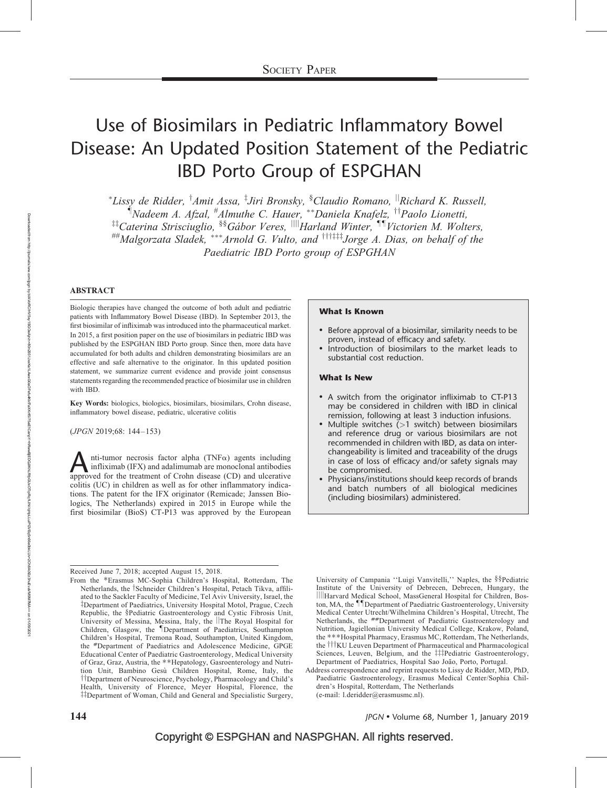# Use of Biosimilars in Pediatric Inflammatory Bowel Disease: An Updated Position Statement of the Pediatric IBD Porto Group of ESPGHAN

\*Lissy de Ridder, <sup>†</sup>Amit Assa, <sup>‡</sup>Jiri Bronsky, <sup>§</sup>Claudio Romano, <sup>||</sup>Richard K. Russell, <sup>i</sup> Nadeem A. Afzal, <sup>#</sup>Almuthe C. Hauer, \*\*Daniela Knafelz, <sup>††</sup>Paolo Lionetti,  ${}^{\ddagger\ddagger}$ Caterina Strisciuglio,  ${}^{\$ \$}$ Gábor Veres,  ${}^{\parallel\parallel}$ Harland Winter,  ${}^{\P \P}$ Victorien M. Wolters, ##Malgorzata Sladek, \*\*\*Arnold G. Vulto, and <sup>†††‡‡‡</sup>Jorge A. Dias, on behalf of the Paediatric IBD Porto group of ESPGHAN

### ABSTRACT

Biologic therapies have changed the outcome of both adult and pediatric patients with Inflammatory Bowel Disease (IBD). In September 2013, the first biosimilar of infliximab was introduced into the pharmaceutical market. In 2015, a first position paper on the use of biosimilars in pediatric IBD was published by the ESPGHAN IBD Porto group. Since then, more data have accumulated for both adults and children demonstrating biosimilars are an effective and safe alternative to the originator. In this updated position statement, we summarize current evidence and provide joint consensus statements regarding the recommended practice of biosimilar use in children with IBD.

Key Words: biologics, biologics, biosimilars, biosimilars, Crohn disease, inflammatory bowel disease, pediatric, ulcerative colitis

(JPGN 2019;68: 144–153)

 $\sum$ nti-tumor necrosis factor alpha (TNF $\alpha$ ) agents including infliximab (IFX) and adalimumab are monoclonal antibodies approved for the treatment of Crohn disease (CD) and ulcerative infliximab (IFX) and adalimumab are monoclonal antibodies colitis (UC) in children as well as for other inflammatory indications. The patent for the IFX originator (Remicade; Janssen Biologics, The Netherlands) expired in 2015 in Europe while the first biosimilar (BioS) CT-P13 was approved by the European

### What Is Known

- Before approval of a biosimilar, similarity needs to be proven, instead of efficacy and safety.
- Introduction of biosimilars to the market leads to substantial cost reduction.

### What Is New

- A switch from the originator infliximab to CT-P13 may be considered in children with IBD in clinical remission, following at least 3 induction infusions.
- Multiple switches  $\overline{(-1)}$  switch) between biosimilars and reference drug or various biosimilars are not recommended in children with IBD, as data on interchangeability is limited and traceability of the drugs in case of loss of efficacy and/or safety signals may be compromised.
- Physicians/institutions should keep records of brands and batch numbers of all biological medicines (including biosimilars) administered.

University of Campania ''Luigi Vanvitelli,'' Naples, the §§Pediatric Institute of the University of Debrecen, Debrecen, Hungary, the jjjjHarvard Medical School, MassGeneral Hospital for Children, Boston, MA, the IIDepartment of Paediatric Gastroenterology, University Medical Center Utrecht/Wilhelmina Children's Hospital, Utrecht, The Netherlands, the ##Department of Paediatric Gastroenterology and Nutrition, Jagiellonian University Medical College, Krakow, Poland, the ---Hospital Pharmacy, Erasmus MC, Rotterdam, The Netherlands, the  $\dagger \dagger \dagger$ KU Leuven Department of Pharmaceutical and Pharmacological Sciences, Leuven, Belgium, and the ##Pediatric Gastroenterology, Department of Paediatrics, Hospital Sao João, Porto, Portugal.

**144** June 1, 1990 **June 1, 1990 June 1, 1990 June 1, 1990 June 1, 1991** *June 68*, Number 1, Ianuary 2019

Received June 7, 2018; accepted August 15, 2018.

From the \*Erasmus MC-Sophia Children's Hospital, Rotterdam, The Netherlands, the <sup>†</sup>Schneider Children's Hospital, Petach Tikva, affiliated to the Sackler Faculty of Medicine, Tel Aviv University, Israel, the <sup>‡</sup>Department of Paediatrics, University Hospital Motol, Prague, Czech Republic, the §Pediatric Gastroenterology and Cystic Fibrosis Unit, University of Messina, Messina, Italy, the *The Royal Hospital for* Children, Glasgow, the *Department* of Paediatrics, Southampton Children's Hospital, Tremona Road, Southampton, United Kingdom, the #Department of Paediatrics and Adolescence Medicine, GPGE Educational Center of Paediatric Gastroenterology, Medical University of Graz, Graz, Austria, the --Hepatology, Gasroenterology and Nutrition Unit, Bambino Gesù Children Hospital, Rome, Italy, the <sup>††</sup>Department of Neuroscience, Psychology, Pharmacology and Child's Health, University of Florence, Meyer Hospital, Florence, the #Department of Woman, Child and General and Specialistic Surgery,

Address correspondence and reprint requests to Lissy de Ridder, MD, PhD, Paediatric Gastroenterology, Erasmus Medical Center/Sophia Children's Hospital, Rotterdam, The Netherlands (e-mail: [l.deridder@erasmusmc.nl](mailto:l.deridder@erasmusmc.nl)).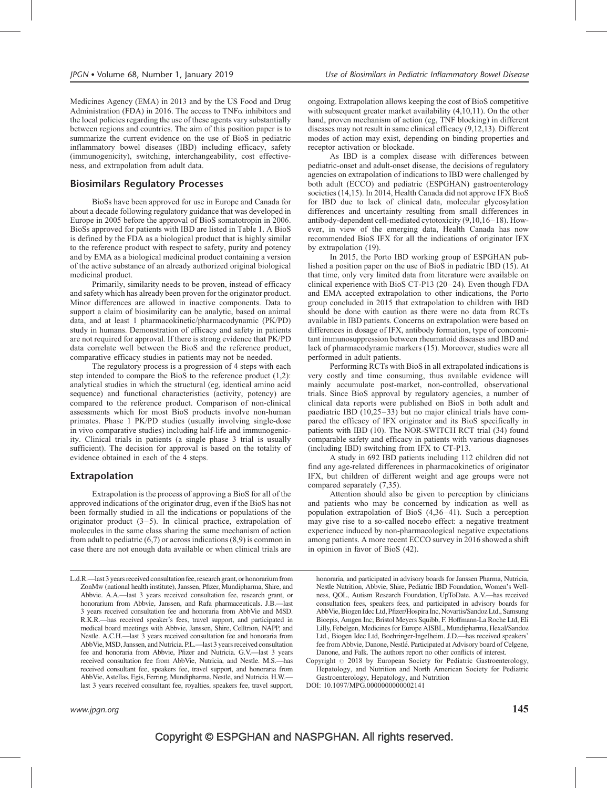Medicines Agency (EMA) in 2013 and by the US Food and Drug Administration (FDA) in 2016. The access to TNF $\alpha$  inhibitors and the local policies regarding the use of these agents vary substantially between regions and countries. The aim of this position paper is to summarize the current evidence on the use of BioS in pediatric inflammatory bowel diseases (IBD) including efficacy, safety (immunogenicity), switching, interchangeability, cost effectiveness, and extrapolation from adult data.

# Biosimilars Regulatory Processes

BioSs have been approved for use in Europe and Canada for about a decade following regulatory guidance that was developed in Europe in 2005 before the approval of BioS somatotropin in 2006. BioSs approved for patients with IBD are listed in Table 1. A BioS is defined by the FDA as a biological product that is highly similar to the reference product with respect to safety, purity and potency and by EMA as a biological medicinal product containing a version of the active substance of an already authorized original biological medicinal product.

Primarily, similarity needs to be proven, instead of efficacy and safety which has already been proven for the originator product. Minor differences are allowed in inactive components. Data to support a claim of biosimilarity can be analytic, based on animal data, and at least 1 pharmacokinetic/pharmacodynamic (PK/PD) study in humans. Demonstration of efficacy and safety in patients are not required for approval. If there is strong evidence that PK/PD data correlate well between the BioS and the reference product, comparative efficacy studies in patients may not be needed.

The regulatory process is a progression of 4 steps with each step intended to compare the BioS to the reference product (1,2): analytical studies in which the structural (eg, identical amino acid sequence) and functional characteristics (activity, potency) are compared to the reference product. Comparison of non-clinical assessments which for most BioS products involve non-human primates. Phase 1 PK/PD studies (usually involving single-dose in vivo comparative studies) including half-life and immunogenicity. Clinical trials in patients (a single phase 3 trial is usually sufficient). The decision for approval is based on the totality of evidence obtained in each of the 4 steps.

## Extrapolation

Extrapolation is the process of approving a BioS for all of the approved indications of the originator drug, even if the BioS has not been formally studied in all the indications or populations of the originator product  $(3-5)$ . In clinical practice, extrapolation of molecules in the same class sharing the same mechanism of action from adult to pediatric (6,7) or across indications (8,9) is common in case there are not enough data available or when clinical trials are

L.d.R.—last 3 years received consultation fee, research grant, or honorarium from ZonMw (national health institute), Janssen, Pfizer, Mundipharma, Shire, and Abbvie. A.A.—last 3 years received consultation fee, research grant, or honorarium from Abbvie, Janssen, and Rafa pharmaceuticals. J.B.—last 3 years received consultation fee and honoraria from AbbVie and MSD. R.K.R.—has received speaker's fees, travel support, and participated in medical board meetings with Abbvie, Janssen, Shire, Celltrion, NAPP, and Nestle. A.C.H.—last 3 years received consultation fee and honoraria from AbbVie, MSD, Janssen, and Nutricia. P.L.—last 3 years received consultation fee and honoraria from Abbvie, Pfizer and Nutricia. G.V.—last 3 years received consultation fee from AbbVie, Nutricia, and Nestle. M.S.—has received consultant fee, speakers fee, travel support, and honoraria from AbbVie, Astellas, Egis, Ferring, Mundipharma, Nestle, and Nutricia. H.W. last 3 years received consultant fee, royalties, speakers fee, travel support, ongoing. Extrapolation allows keeping the cost of BioS competitive with subsequent greater market availability (4,10,11). On the other hand, proven mechanism of action (eg, TNF blocking) in different diseases may not result in same clinical efficacy (9,12,13). Different modes of action may exist, depending on binding properties and receptor activation or blockade.

As IBD is a complex disease with differences between pediatric-onset and adult-onset disease, the decisions of regulatory agencies on extrapolation of indications to IBD were challenged by both adult (ECCO) and pediatric (ESPGHAN) gastroenterology societies (14,15). In 2014, Health Canada did not approve IFX BioS for IBD due to lack of clinical data, molecular glycosylation differences and uncertainty resulting from small differences in antibody-dependent cell-mediated cytotoxicity (9,10,16–18). However, in view of the emerging data, Health Canada has now recommended BioS IFX for all the indications of originator IFX by extrapolation (19).

In 2015, the Porto IBD working group of ESPGHAN published a position paper on the use of BioS in pediatric IBD (15). At that time, only very limited data from literature were available on clinical experience with BioS CT-P13 (20–24). Even though FDA and EMA accepted extrapolation to other indications, the Porto group concluded in 2015 that extrapolation to children with IBD should be done with caution as there were no data from RCTs available in IBD patients. Concerns on extrapolation were based on differences in dosage of IFX, antibody formation, type of concomitant immunosuppression between rheumatoid diseases and IBD and lack of pharmacodynamic markers (15). Moreover, studies were all performed in adult patients.

Performing RCTs with BioS in all extrapolated indications is very costly and time consuming, thus available evidence will mainly accumulate post-market, non-controlled, observational trials. Since BioS approval by regulatory agencies, a number of clinical data reports were published on BioS in both adult and paediatric IBD (10,25–33) but no major clinical trials have compared the efficacy of IFX originator and its BioS specifically in patients with IBD (10). The NOR-SWITCH RCT trial (34) found comparable safety and efficacy in patients with various diagnoses (including IBD) switching from IFX to CT-P13.

A study in 692 IBD patients including 112 children did not find any age-related differences in pharmacokinetics of originator IFX, but children of different weight and age groups were not compared separately (7,35).

Attention should also be given to perception by clinicians and patients who may be concerned by indication as well as population extrapolation of BioS (4,36–41). Such a perception may give rise to a so-called nocebo effect: a negative treatment experience induced by non-pharmacological negative expectations among patients. A more recent ECCO survey in 2016 showed a shift in opinion in favor of BioS (42).

honoraria, and participated in advisory boards for Janssen Pharma, Nutricia, Nestle Nutrition, Abbvie, Shire, Pediatric IBD Foundation, Women's Wellness, QOL, Autism Research Foundation, UpToDate. A.V.—has received consultation fees, speakers fees, and participated in advisory boards for AbbVie, Biogen Idec Ltd, Pfizer/Hospira Inc, Novartis/Sandoz Ltd., Samsung Bioepis, Amgen Inc; Bristol Meyers Squibb, F. Hoffmann-La Roche Ltd, Eli Lilly, Febelgen, Medicines for Europe AISBL, Mundipharma, Hexal/Sandoz Ltd., Biogen Idec Ltd, Boehringer-Ingelheim. J.D.—has received speakers' fee from Abbvie, Danone, Nestlé. Participated at Advisory board of Celgene, Danone, and Falk. The authors report no other conflicts of interest.

Copyright  $\odot$  2018 by European Society for Pediatric Gastroenterology, Hepatology, and Nutrition and North American Society for Pediatric Gastroenterology, Hepatology, and Nutrition

DOI: [10.1097/MPG.0000000000002141](http://dx.doi.org/10.1097/MPG.0000000000002141)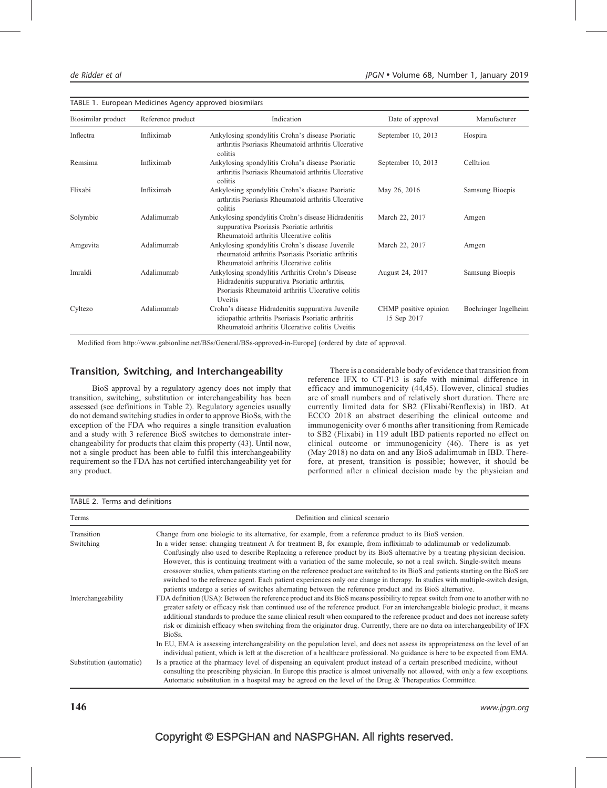|  |  | TABLE 1. European Medicines Agency approved biosimilars |
|--|--|---------------------------------------------------------|
|  |  |                                                         |

| Biosimilar product | Reference product | Indication                                                                                                                                                        | Date of approval                     | Manufacturer         |  |  |
|--------------------|-------------------|-------------------------------------------------------------------------------------------------------------------------------------------------------------------|--------------------------------------|----------------------|--|--|
| Inflectra          | Infliximab        | Ankylosing spondylitis Crohn's disease Psoriatic<br>arthritis Psoriasis Rheumatoid arthritis Ulcerative<br>colitis                                                | September 10, 2013                   | Hospira              |  |  |
| Remsima            | Infliximab        | Ankylosing spondylitis Crohn's disease Psoriatic<br>arthritis Psoriasis Rheumatoid arthritis Ulcerative<br>colitis                                                | September 10, 2013                   | Celltrion            |  |  |
| Flixabi            | Infliximab        | Ankylosing spondylitis Crohn's disease Psoriatic<br>arthritis Psoriasis Rheumatoid arthritis Ulcerative<br>colitis                                                | May 26, 2016                         | Samsung Bioepis      |  |  |
| Solymbic           | Adalimumab        | Ankylosing spondylitis Crohn's disease Hidradenitis<br>suppurativa Psoriasis Psoriatic arthritis<br>Rheumatoid arthritis Ulcerative colitis                       | March 22, 2017                       | Amgen                |  |  |
| Amgevita           | Adalimumab        | Ankylosing spondylitis Crohn's disease Juvenile<br>rheumatoid arthritis Psoriasis Psoriatic arthritis<br>Rheumatoid arthritis Ulcerative colitis                  | March 22, 2017                       | Amgen                |  |  |
| Imraldi            | Adalimumab        | Ankylosing spondylitis Arthritis Crohn's Disease<br>Hidradenitis suppurativa Psoriatic arthritis,<br>Psoriasis Rheumatoid arthritis Ulcerative colitis<br>Uveitis | August 24, 2017                      | Samsung Bioepis      |  |  |
| Cyltezo            | Adalimumab        | Crohn's disease Hidradenitis suppurativa Juvenile<br>idiopathic arthritis Psoriasis Psoriatic arthritis<br>Rheumatoid arthritis Ulcerative colitis Uveitis        | CHMP positive opinion<br>15 Sep 2017 | Boehringer Ingelheim |  |  |

Modified from<http://www.gabionline.net/BSs/General/BSs-approved-in-Europe>] (ordered by date of approval.

# Transition, Switching, and Interchangeability

BioS approval by a regulatory agency does not imply that transition, switching, substitution or interchangeability has been assessed (see definitions in Table 2). Regulatory agencies usually do not demand switching studies in order to approve BioSs, with the exception of the FDA who requires a single transition evaluation and a study with 3 reference BioS switches to demonstrate interchangeability for products that claim this property (43). Until now, not a single product has been able to fulfil this interchangeability requirement so the FDA has not certified interchangeability yet for any product.

There is a considerable body of evidence that transition from reference IFX to CT-P13 is safe with minimal difference in efficacy and immunogenicity (44,45). However, clinical studies are of small numbers and of relatively short duration. There are currently limited data for SB2 (Flixabi/Renflexis) in IBD. At ECCO 2018 an abstract describing the clinical outcome and immunogenicity over 6 months after transitioning from Remicade to SB2 (Flixabi) in 119 adult IBD patients reported no effect on clinical outcome or immunogenicity (46). There is as yet (May 2018) no data on and any BioS adalimumab in IBD. Therefore, at present, transition is possible; however, it should be performed after a clinical decision made by the physician and

| TABLE 2. Terms and definitions |                                                                                                                                                                                                                                                                                                                                                                                                                                                                                                                                                                                                                                                                                                                                                              |  |  |  |
|--------------------------------|--------------------------------------------------------------------------------------------------------------------------------------------------------------------------------------------------------------------------------------------------------------------------------------------------------------------------------------------------------------------------------------------------------------------------------------------------------------------------------------------------------------------------------------------------------------------------------------------------------------------------------------------------------------------------------------------------------------------------------------------------------------|--|--|--|
| Terms                          | Definition and clinical scenario                                                                                                                                                                                                                                                                                                                                                                                                                                                                                                                                                                                                                                                                                                                             |  |  |  |
| Transition                     | Change from one biologic to its alternative, for example, from a reference product to its BioS version.                                                                                                                                                                                                                                                                                                                                                                                                                                                                                                                                                                                                                                                      |  |  |  |
| Switching                      | In a wider sense: changing treatment A for treatment B, for example, from infliximab to adalimumab or vedolizumab.<br>Confusingly also used to describe Replacing a reference product by its BioS alternative by a treating physician decision.<br>However, this is continuing treatment with a variation of the same molecule, so not a real switch. Single-switch means<br>crossover studies, when patients starting on the reference product are switched to its BioS and patients starting on the BioS are<br>switched to the reference agent. Each patient experiences only one change in therapy. In studies with multiple-switch design,<br>patients undergo a series of switches alternating between the reference product and its BioS alternative. |  |  |  |
| Interchangeability             | FDA definition (USA): Between the reference product and its BioS means possibility to repeat switch from one to another with no<br>greater safety or efficacy risk than continued use of the reference product. For an interchangeable biologic product, it means<br>additional standards to produce the same clinical result when compared to the reference product and does not increase safety<br>risk or diminish efficacy when switching from the originator drug. Currently, there are no data on interchangeability of IFX<br>BioSs.                                                                                                                                                                                                                  |  |  |  |
|                                | In EU, EMA is assessing interchangeability on the population level, and does not assess its appropriateness on the level of an<br>individual patient, which is left at the discretion of a healthcare professional. No guidance is here to be expected from EMA.                                                                                                                                                                                                                                                                                                                                                                                                                                                                                             |  |  |  |
| Substitution (automatic)       | Is a practice at the pharmacy level of dispensing an equivalent product instead of a certain prescribed medicine, without<br>consulting the prescribing physician. In Europe this practice is almost universally not allowed, with only a few exceptions.<br>Automatic substitution in a hospital may be agreed on the level of the Drug & Therapeutics Committee.                                                                                                                                                                                                                                                                                                                                                                                           |  |  |  |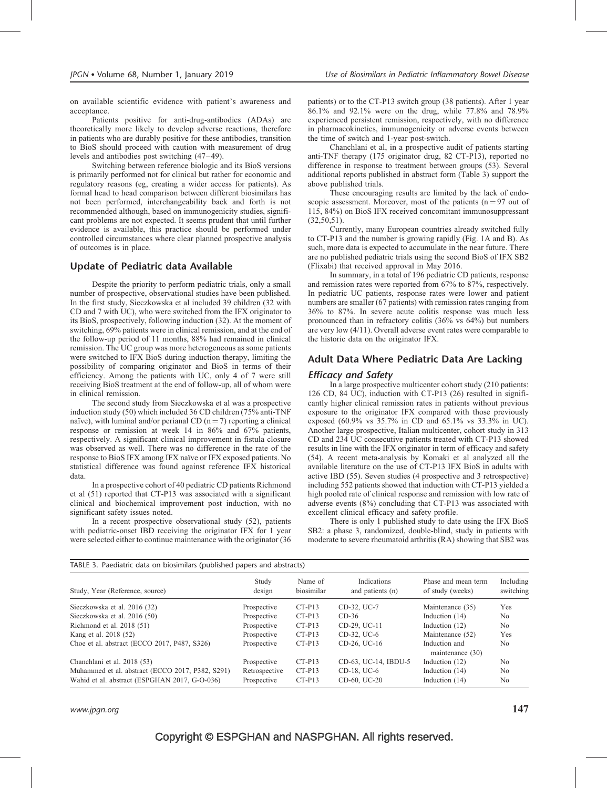on available scientific evidence with patient's awareness and acceptance.

Patients positive for anti-drug-antibodies (ADAs) are theoretically more likely to develop adverse reactions, therefore in patients who are durably positive for these antibodies, transition to BioS should proceed with caution with measurement of drug levels and antibodies post switching (47–49).

Switching between reference biologic and its BioS versions is primarily performed not for clinical but rather for economic and regulatory reasons (eg, creating a wider access for patients). As formal head to head comparison between different biosimilars has not been performed, interchangeability back and forth is not recommended although, based on immunogenicity studies, significant problems are not expected. It seems prudent that until further evidence is available, this practice should be performed under controlled circumstances where clear planned prospective analysis of outcomes is in place.

# Update of Pediatric data Available

Despite the priority to perform pediatric trials, only a small number of prospective, observational studies have been published. In the first study, Sieczkowska et al included 39 children (32 with CD and 7 with UC), who were switched from the IFX originator to its BioS, prospectively, following induction (32). At the moment of switching, 69% patients were in clinical remission, and at the end of the follow-up period of 11 months, 88% had remained in clinical remission. The UC group was more heterogeneous as some patients were switched to IFX BioS during induction therapy, limiting the possibility of comparing originator and BioS in terms of their efficiency. Among the patients with UC, only 4 of 7 were still receiving BioS treatment at the end of follow-up, all of whom were in clinical remission.

The second study from Sieczkowska et al was a prospective induction study (50) which included 36 CD children (75% anti-TNF naïve), with luminal and/or perianal CD ( $n = 7$ ) reporting a clinical response or remission at week 14 in 86% and 67% patients, respectively. A significant clinical improvement in fistula closure was observed as well. There was no difference in the rate of the response to BioS IFX among IFX naïve or IFX exposed patients. No statistical difference was found against reference IFX historical data.

In a prospective cohort of 40 pediatric CD patients Richmond et al (51) reported that CT-P13 was associated with a significant clinical and biochemical improvement post induction, with no significant safety issues noted.

In a recent prospective observational study (52), patients with pediatric-onset IBD receiving the originator IFX for 1 year were selected either to continue maintenance with the originator (36 patients) or to the CT-P13 switch group (38 patients). After 1 year 86.1% and 92.1% were on the drug, while 77.8% and 78.9% experienced persistent remission, respectively, with no difference in pharmacokinetics, immunogenicity or adverse events between the time of switch and 1-year post-switch.

Chanchlani et al, in a prospective audit of patients starting anti-TNF therapy (175 originator drug, 82 CT-P13), reported no difference in response to treatment between groups (53). Several additional reports published in abstract form (Table 3) support the above published trials.

These encouraging results are limited by the lack of endoscopic assessment. Moreover, most of the patients ( $n = 97$  out of 115, 84%) on BioS IFX received concomitant immunosuppressant  $(32,50,51)$ .

Currently, many European countries already switched fully to CT-P13 and the number is growing rapidly (Fig. 1A and B). As such, more data is expected to accumulate in the near future. There are no published pediatric trials using the second BioS of IFX SB2 (Flixabi) that received approval in May 2016.

In summary, in a total of 196 pediatric CD patients, response and remission rates were reported from 67% to 87%, respectively. In pediatric UC patients, response rates were lower and patient numbers are smaller (67 patients) with remission rates ranging from 36% to 87%. In severe acute colitis response was much less pronounced than in refractory colitis (36% vs 64%) but numbers are very low (4/11). Overall adverse event rates were comparable to the historic data on the originator IFX.

# Adult Data Where Pediatric Data Are Lacking

## Efficacy and Safety

In a large prospective multicenter cohort study (210 patients: 126 CD, 84 UC), induction with CT-P13 (26) resulted in significantly higher clinical remission rates in patients without previous exposure to the originator IFX compared with those previously exposed (60.9% vs 35.7% in CD and 65.1% vs 33.3% in UC). Another large prospective, Italian multicenter, cohort study in 313 CD and 234 UC consecutive patients treated with CT-P13 showed results in line with the IFX originator in term of efficacy and safety (54). A recent meta-analysis by Komaki et al analyzed all the available literature on the use of CT-P13 IFX BioS in adults with active IBD (55). Seven studies (4 prospective and 3 retrospective) including 552 patients showed that induction with CT-P13 yielded a high pooled rate of clinical response and remission with low rate of adverse events (8%) concluding that CT-P13 was associated with excellent clinical efficacy and safety profile.

There is only 1 published study to date using the IFX BioS SB2: a phase 3, randomized, double-blind, study in patients with moderate to severe rheumatoid arthritis (RA) showing that SB2 was

| TABLE 3. Paediatric data on biosimilars (published papers and abstracts) |                 |                       |                                        |                                         |                        |  |  |  |
|--------------------------------------------------------------------------|-----------------|-----------------------|----------------------------------------|-----------------------------------------|------------------------|--|--|--|
| Study, Year (Reference, source)                                          | Study<br>design | Name of<br>biosimilar | <b>Indications</b><br>and patients (n) | Phase and mean term<br>of study (weeks) | Including<br>switching |  |  |  |
| Sieczkowska et al. 2016 (32)                                             | Prospective     | $CT-P13$              | CD-32, UC-7                            | Maintenance (35)                        | Yes                    |  |  |  |
| Sieczkowska et al. 2016 (50)                                             | Prospective     | $CT-P13$              | $CD-36$                                | Induction $(14)$                        | N <sub>0</sub>         |  |  |  |
| Richmond et al. 2018 (51)                                                | Prospective     | $CT-P13$              | CD-29, UC-11                           | Induction $(12)$                        | N <sub>0</sub>         |  |  |  |
| Kang et al. 2018 (52)                                                    | Prospective     | $CT-P13$              | CD-32, UC-6                            | Maintenance (52)                        | Yes                    |  |  |  |
| Choe et al. abstract (ECCO 2017, P487, S326)                             | Prospective     | $CT-P13$              | CD-26, UC-16                           | Induction and<br>maintenance (30)       | N <sub>0</sub>         |  |  |  |
| Chanchlani et al. 2018 (53)                                              | Prospective     | $CT-P13$              | CD-63, UC-14, IBDU-5                   | Induction (12)                          | N <sub>0</sub>         |  |  |  |
| Muhammed et al. abstract (ECCO 2017, P382, S291)                         | Retrospective   | $CT-P13$              | CD-18, UC-6                            | Induction $(14)$                        | No                     |  |  |  |
| Wahid et al. abstract (ESPGHAN 2017, G-O-036)                            | Prospective     | $CT-P13$              | CD-60, UC-20                           | Induction (14)                          | No                     |  |  |  |

www.jpgn.org  $147$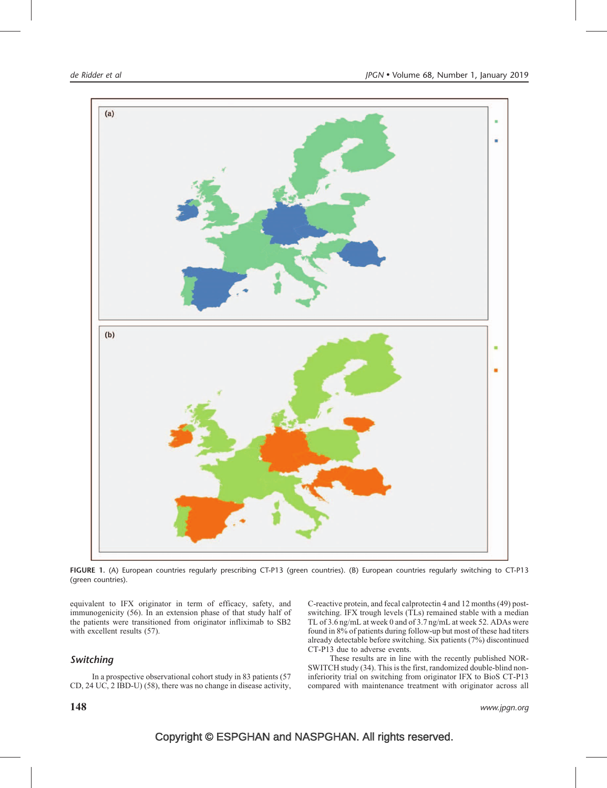

FIGURE 1. (A) European countries regularly prescribing CT-P13 (green countries). (B) European countries regularly switching to CT-P13 (green countries).

equivalent to IFX originator in term of efficacy, safety, and immunogenicity (56). In an extension phase of that study half of the patients were transitioned from originator infliximab to SB2 with excellent results (57).

# Switching

In a prospective observational cohort study in 83 patients (57 CD, 24 UC, 2 IBD-U) (58), there was no change in disease activity, C-reactive protein, and fecal calprotectin 4 and 12 months (49) postswitching. IFX trough levels (TLs) remained stable with a median TL of 3.6 ng/mL at week 0 and of 3.7 ng/mL at week 52. ADAs were found in 8% of patients during follow-up but most of these had titers already detectable before switching. Six patients (7%) discontinued CT-P13 due to adverse events.

These results are in line with the recently published NOR-SWITCH study (34). This is the first, randomized double-blind noninferiority trial on switching from originator IFX to BioS CT-P13 compared with maintenance treatment with originator across all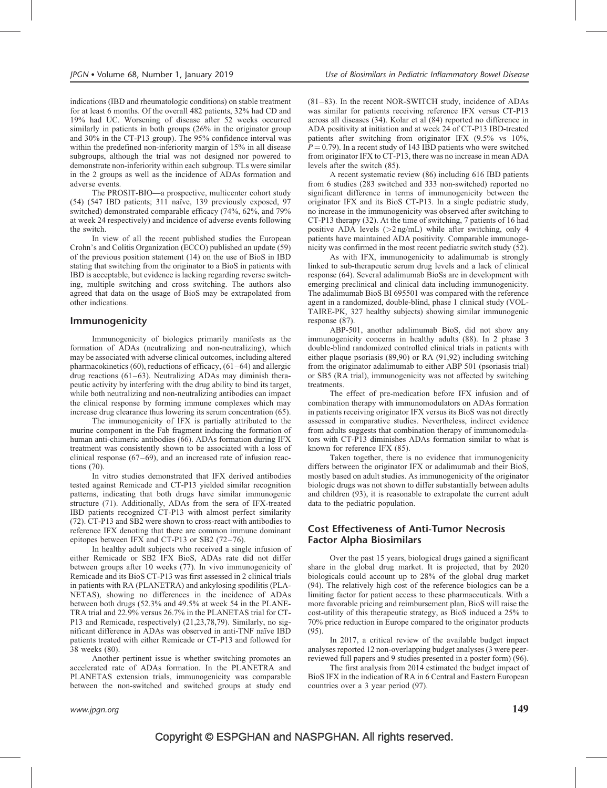indications (IBD and rheumatologic conditions) on stable treatment for at least 6 months. Of the overall 482 patients, 32% had CD and 19% had UC. Worsening of disease after 52 weeks occurred similarly in patients in both groups (26% in the originator group and 30% in the CT-P13 group). The 95% confidence interval was within the predefined non-inferiority margin of 15% in all disease subgroups, although the trial was not designed nor powered to demonstrate non-inferiority within each subgroup. TLs were similar in the 2 groups as well as the incidence of ADAs formation and adverse events.

The PROSIT-BIO—a prospective, multicenter cohort study (54) (547 IBD patients; 311 naïve, 139 previously exposed, 97 switched) demonstrated comparable efficacy (74%, 62%, and 79% at week 24 respectively) and incidence of adverse events following the switch.

In view of all the recent published studies the European Crohn's and Colitis Organization (ECCO) published an update (59) of the previous position statement (14) on the use of BioS in IBD stating that switching from the originator to a BioS in patients with IBD is acceptable, but evidence is lacking regarding reverse switching, multiple switching and cross switching. The authors also agreed that data on the usage of BioS may be extrapolated from other indications.

# Immunogenicity

Immunogenicity of biologics primarily manifests as the formation of ADAs (neutralizing and non-neutralizing), which may be associated with adverse clinical outcomes, including altered pharmacokinetics (60), reductions of efficacy, (61–64) and allergic drug reactions (61–63). Neutralizing ADAs may diminish therapeutic activity by interfering with the drug ability to bind its target, while both neutralizing and non-neutralizing antibodies can impact the clinical response by forming immune complexes which may increase drug clearance thus lowering its serum concentration (65).

The immunogenicity of IFX is partially attributed to the murine component in the Fab fragment inducing the formation of human anti-chimeric antibodies (66). ADAs formation during IFX treatment was consistently shown to be associated with a loss of clinical response (67–69), and an increased rate of infusion reactions (70).

In vitro studies demonstrated that IFX derived antibodies tested against Remicade and CT-P13 yielded similar recognition patterns, indicating that both drugs have similar immunogenic structure (71). Additionally, ADAs from the sera of IFX-treated IBD patients recognized CT-P13 with almost perfect similarity (72). CT-P13 and SB2 were shown to cross-react with antibodies to reference IFX denoting that there are common immune dominant epitopes between IFX and CT-P13 or SB2 (72–76).

In healthy adult subjects who received a single infusion of either Remicade or SB2 IFX BioS, ADAs rate did not differ between groups after 10 weeks (77). In vivo immunogenicity of Remicade and its BioS CT-P13 was first assessed in 2 clinical trials in patients with RA (PLANETRA) and ankylosing spodilitis (PLA-NETAS), showing no differences in the incidence of ADAs between both drugs (52.3% and 49.5% at week 54 in the PLANE-TRA trial and 22.9% versus 26.7% in the PLANETAS trial for CT-P13 and Remicade, respectively) (21,23,78,79). Similarly, no significant difference in ADAs was observed in anti-TNF naïve IBD patients treated with either Remicade or CT-P13 and followed for 38 weeks (80).

Another pertinent issue is whether switching promotes an accelerated rate of ADAs formation. In the PLANETRA and PLANETAS extension trials, immunogenicity was comparable between the non-switched and switched groups at study end (81–83). In the recent NOR-SWITCH study, incidence of ADAs was similar for patients receiving reference IFX versus CT-P13 across all diseases (34). Kolar et al (84) reported no difference in ADA positivity at initiation and at week 24 of CT-P13 IBD-treated patients after switching from originator IFX (9.5% vs 10%,  $P = 0.79$ ). In a recent study of 143 IBD patients who were switched from originator IFX to CT-P13, there was no increase in mean ADA levels after the switch (85).

A recent systematic review (86) including 616 IBD patients from 6 studies (283 switched and 333 non-switched) reported no significant difference in terms of immunogenicity between the originator IFX and its BioS CT-P13. In a single pediatric study, no increase in the immunogenicity was observed after switching to CT-P13 therapy (32). At the time of switching, 7 patients of 16 had positive ADA levels  $(>2 \text{ ng/mL})$  while after switching, only 4 patients have maintained ADA positivity. Comparable immunogenicity was confirmed in the most recent pediatric switch study (52).

As with IFX, immunogenicity to adalimumab is strongly linked to sub-therapeutic serum drug levels and a lack of clinical response (64). Several adalimumab BioSs are in development with emerging preclinical and clinical data including immunogenicity. The adalimumab BioS BI 695501 was compared with the reference agent in a randomized, double-blind, phase 1 clinical study (VOL-TAIRE-PK, 327 healthy subjects) showing similar immunogenic response (87).

ABP-501, another adalimumab BioS, did not show any immunogenicity concerns in healthy adults (88). In 2 phase 3 double-blind randomized controlled clinical trials in patients with either plaque psoriasis (89,90) or RA (91,92) including switching from the originator adalimumab to either ABP 501 (psoriasis trial) or SB5 (RA trial), immunogenicity was not affected by switching treatments.

The effect of pre-medication before IFX infusion and of combination therapy with immunomodulators on ADAs formation in patients receiving originator IFX versus its BioS was not directly assessed in comparative studies. Nevertheless, indirect evidence from adults suggests that combination therapy of immunomodulators with CT-P13 diminishes ADAs formation similar to what is known for reference IFX (85).

Taken together, there is no evidence that immunogenicity differs between the originator IFX or adalimumab and their BioS, mostly based on adult studies. As immunogenicity of the originator biologic drugs was not shown to differ substantially between adults and children (93), it is reasonable to extrapolate the current adult data to the pediatric population.

# Cost Effectiveness of Anti-Tumor Necrosis Factor Alpha Biosimilars

Over the past 15 years, biological drugs gained a significant share in the global drug market. It is projected, that by 2020 biologicals could account up to 28% of the global drug market (94). The relatively high cost of the reference biologics can be a limiting factor for patient access to these pharmaceuticals. With a more favorable pricing and reimbursement plan, BioS will raise the cost-utility of this therapeutic strategy, as BioS induced a 25% to 70% price reduction in Europe compared to the originator products  $(95)$ .

In 2017, a critical review of the available budget impact analyses reported 12 non-overlapping budget analyses (3 were peerreviewed full papers and 9 studies presented in a poster form) (96).

The first analysis from 2014 estimated the budget impact of BioS IFX in the indication of RA in 6 Central and Eastern European countries over a 3 year period (97).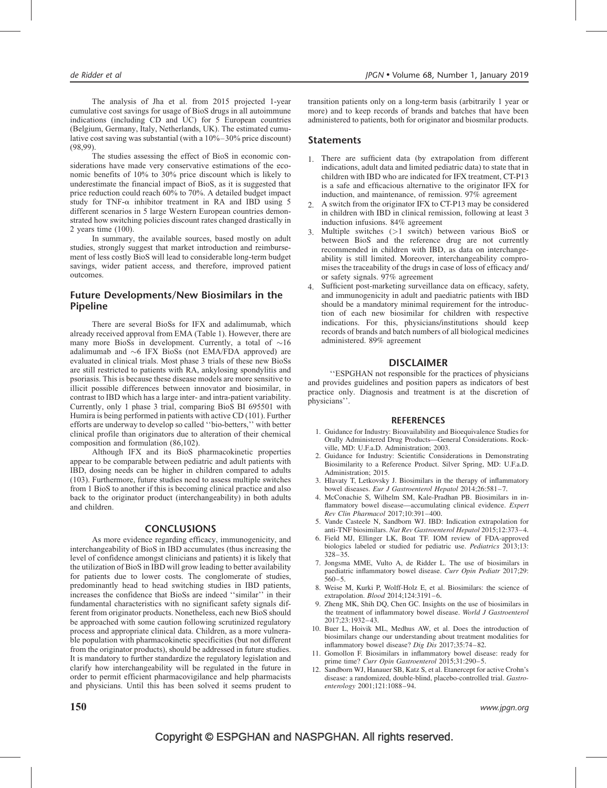The analysis of Jha et al. from 2015 projected 1-year cumulative cost savings for usage of BioS drugs in all autoimmune indications (including CD and UC) for 5 European countries (Belgium, Germany, Italy, Netherlands, UK). The estimated cumulative cost saving was substantial (with a 10%–30% price discount) (98,99).

The studies assessing the effect of BioS in economic considerations have made very conservative estimations of the economic benefits of 10% to 30% price discount which is likely to underestimate the financial impact of BioS, as it is suggested that price reduction could reach 60% to 70%. A detailed budget impact study for TNF- $\alpha$  inhibitor treatment in RA and IBD using 5 different scenarios in 5 large Western European countries demonstrated how switching policies discount rates changed drastically in 2 years time (100).

In summary, the available sources, based mostly on adult studies, strongly suggest that market introduction and reimbursement of less costly BioS will lead to considerable long-term budget savings, wider patient access, and therefore, improved patient outcomes.

# Future Developments/New Biosimilars in the Pipeline

There are several BioSs for IFX and adalimumab, which already received approval from EMA (Table 1). However, there are many more BioSs in development. Currently, a total of  $\sim 16$ adalimumab and  $\sim$ 6 IFX BioSs (not EMA/FDA approved) are evaluated in clinical trials. Most phase 3 trials of these new BioSs are still restricted to patients with RA, ankylosing spondylitis and psoriasis. This is because these disease models are more sensitive to illicit possible differences between innovator and biosimilar, in contrast to IBD which has a large inter- and intra-patient variability. Currently, only 1 phase 3 trial, comparing BioS BI 695501 with Humira is being performed in patients with active CD (101). Further efforts are underway to develop so called ''bio-betters,'' with better clinical profile than originators due to alteration of their chemical composition and formulation (86,102).

Although IFX and its BioS pharmacokinetic properties appear to be comparable between pediatric and adult patients with IBD, dosing needs can be higher in children compared to adults (103). Furthermore, future studies need to assess multiple switches from 1 BioS to another if this is becoming clinical practice and also back to the originator product (interchangeability) in both adults and children.

### **CONCLUSIONS**

As more evidence regarding efficacy, immunogenicity, and interchangeability of BioS in IBD accumulates (thus increasing the level of confidence amongst clinicians and patients) it is likely that the utilization of BioS in IBD will grow leading to better availability for patients due to lower costs. The conglomerate of studies, predominantly head to head switching studies in IBD patients, increases the confidence that BioSs are indeed ''similar'' in their fundamental characteristics with no significant safety signals different from originator products. Nonetheless, each new BioS should be approached with some caution following scrutinized regulatory process and appropriate clinical data. Children, as a more vulnerable population with pharmacokinetic specificities (but not different from the originator products), should be addressed in future studies. It is mandatory to further standardize the regulatory legislation and clarify how interchangeability will be regulated in the future in order to permit efficient pharmacovigilance and help pharmacists and physicians. Until this has been solved it seems prudent to

transition patients only on a long-term basis (arbitrarily 1 year or more) and to keep records of brands and batches that have been administered to patients, both for originator and biosmilar products.

### Statements

- 1. There are sufficient data (by extrapolation from different indications, adult data and limited pediatric data) to state that in children with IBD who are indicated for IFX treatment, CT-P13 is a safe and efficacious alternative to the originator IFX for induction, and maintenance, of remission. 97% agreement
- 2. A switch from the originator IFX to CT-P13 may be considered in children with IBD in clinical remission, following at least 3 induction infusions. 84% agreement
- 3. Multiple switches (>1 switch) between various BioS or between BioS and the reference drug are not currently recommended in children with IBD, as data on interchangeability is still limited. Moreover, interchangeability compromises the traceability of the drugs in case of loss of efficacy and/ or safety signals. 97% agreement
- 4. Sufficient post-marketing surveillance data on efficacy, safety, and immunogenicity in adult and paediatric patients with IBD should be a mandatory minimal requirement for the introduction of each new biosimilar for children with respective indications. For this, physicians/institutions should keep records of brands and batch numbers of all biological medicines administered. 89% agreement

### DISCLAIMER

''ESPGHAN not responsible for the practices of physicians and provides guidelines and position papers as indicators of best practice only. Diagnosis and treatment is at the discretion of physicians''.

### **REFERENCES**

- 1. Guidance for Industry: Bioavailability and Bioequivalence Studies for Orally Administered Drug Products—General Considerations. Rockville, MD: U.F.a.D. Administration; 2003.
- 2. Guidance for Industry: Scientific Considerations in Demonstrating Biosimilarity to a Reference Product. Silver Spring, MD: U.F.a.D. Administration; 2015.
- 3. Hlavaty T, Letkovsky J. Biosimilars in the therapy of inflammatory bowel diseases. Eur J Gastroenterol Hepatol 2014;26:581–7.
- 4. McConachie S, Wilhelm SM, Kale-Pradhan PB. Biosimilars in inflammatory bowel disease—accumulating clinical evidence. Expert Rev Clin Pharmacol 2017;10:391–400.
- 5. Vande Casteele N, Sandborn WJ. IBD: Indication extrapolation for anti-TNF biosimilars. Nat Rev Gastroenterol Hepatol 2015;12:373–4.
- 6. Field MJ, Ellinger LK, Boat TF. IOM review of FDA-approved biologics labeled or studied for pediatric use. Pediatrics 2013;13: 328–35.
- 7. Jongsma MME, Vulto A, de Ridder L. The use of biosimilars in paediatric inflammatory bowel disease. Curr Opin Pediatr 2017;29: 560–5.
- 8. Weise M, Kurki P, Wolff-Holz E, et al. Biosimilars: the science of extrapolation. Blood 2014;124:3191–6.
- 9. Zheng MK, Shih DQ, Chen GC. Insights on the use of biosimilars in the treatment of inflammatory bowel disease. World J Gastroenterol 2017;23:1932–43.
- 10. Buer L, Hoivik ML, Medhus AW, et al. Does the introduction of biosimilars change our understanding about treatment modalities for inflammatory bowel disease? Dig Dis 2017;35:74–82.
- 11. Gomollon F. Biosimilars in inflammatory bowel disease: ready for prime time? Curr Opin Gastroenterol 2015;31:290–5.
- 12. Sandborn WJ, Hanauer SB, Katz S, et al. Etanercept for active Crohn's disease: a randomized, double-blind, placebo-controlled trial. Gastroenterology 2001;121:1088–94.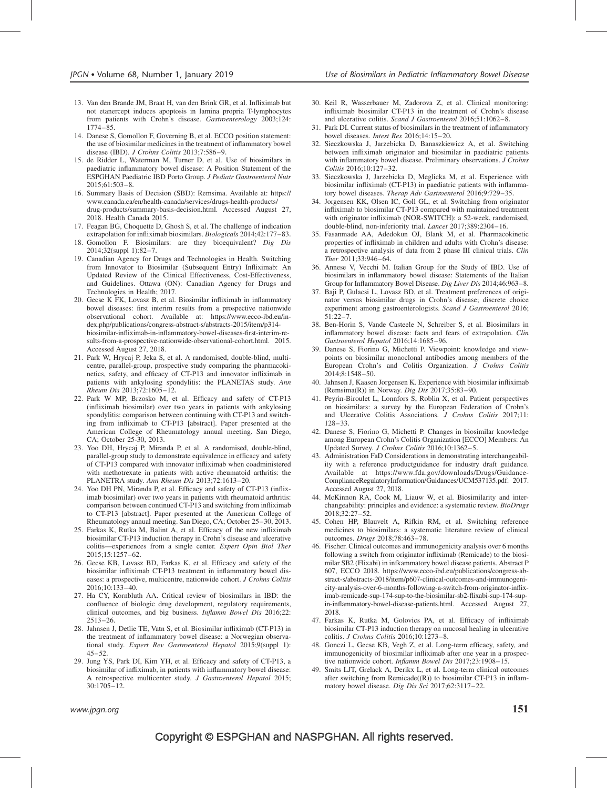- 13. Van den Brande JM, Braat H, van den Brink GR, et al. Infliximab but not etanercept induces apoptosis in lamina propria T-lymphocytes from patients with Crohn's disease. Gastroenterology 2003;124: 1774–85.
- 14. Danese S, Gomollon F, Governing B, et al. ECCO position statement: the use of biosimilar medicines in the treatment of inflammatory bowel disease (IBD). J Crohns Colitis 2013;7:586–9.
- 15. de Ridder L, Waterman M, Turner D, et al. Use of biosimilars in paediatric inflammatory bowel disease: A Position Statement of the ESPGHAN Paediatric IBD Porto Group. J Pediatr Gastroenterol Nutr 2015;61:503–8.
- 16. Summary Basis of Decision (SBD): Remsima. Available at: [https://](https://www.canada.ca/en/health-canada/services/drugs-health-products/drug-products/summary-basis-decision.html) [www.canada.ca/en/health-canada/services/drugs-health-products/](https://www.canada.ca/en/health-canada/services/drugs-health-products/drug-products/summary-basis-decision.html) [drug-products/summary-basis-decision.html.](https://www.canada.ca/en/health-canada/services/drugs-health-products/drug-products/summary-basis-decision.html) Accessed August 27, 2018. Health Canada 2015.
- 17. Feagan BG, Choquette D, Ghosh S, et al. The challenge of indication extrapolation for infliximab biosimilars. Biologicals 2014;42:177–83.
- 18. Gomollon F. Biosimilars: are they bioequivalent? Dig Dis 2014;32(suppl 1):82–7.
- 19. Canadian Agency for Drugs and Technologies in Health. Switching from Innovator to Biosimilar (Subsequent Entry) Infliximab: An Updated Review of the Clinical Effectiveness, Cost-Effectiveness, and Guidelines. Ottawa (ON): Canadian Agency for Drugs and Technologies in Health; 2017.
- 20. Gecse K FK, Lovasz B, et al. Biosimilar infliximab in inflammatory bowel diseases: first interim results from a prospective nationwide observational cohort. Available at: [https://www.ecco-ibd.eu/in](https://www.ecco-ibd.eu/index.php/publications/congress-abstract-s/abstracts-2015/item/p314-biosimilar-infliximab-in-inflammatory-bowel-diseases-first-interim-results-from-a-prospective-nationwide-observational-cohort.html)[dex.php/publications/congress-abstract-s/abstracts-2015/item/p314](https://www.ecco-ibd.eu/index.php/publications/congress-abstract-s/abstracts-2015/item/p314-biosimilar-infliximab-in-inflammatory-bowel-diseases-first-interim-results-from-a-prospective-nationwide-observational-cohort.html) [biosimilar-infliximab-in-inflammatory-bowel-diseases-first-interim-re](https://www.ecco-ibd.eu/index.php/publications/congress-abstract-s/abstracts-2015/item/p314-biosimilar-infliximab-in-inflammatory-bowel-diseases-first-interim-results-from-a-prospective-nationwide-observational-cohort.html)[sults-from-a-prospective-nationwide-observational-cohort.html](https://www.ecco-ibd.eu/index.php/publications/congress-abstract-s/abstracts-2015/item/p314-biosimilar-infliximab-in-inflammatory-bowel-diseases-first-interim-results-from-a-prospective-nationwide-observational-cohort.html). 2015. Accessed August 27, 2018.
- 21. Park W, Hrycaj P, Jeka S, et al. A randomised, double-blind, multicentre, parallel-group, prospective study comparing the pharmacokinetics, safety, and efficacy of CT-P13 and innovator infliximab in patients with ankylosing spondylitis: the PLANETAS study. Ann Rheum Dis 2013;72:1605–12.
- 22. Park W MP, Brzosko M, et al. Efficacy and safety of CT-P13 (infliximab biosimilar) over two years in patients with ankylosing spondylitis: comparison between continuing with CT-P13 and switching from infliximab to CT-P13 [abstract]. Paper presented at the American College of Rheumatology annual meeting. San Diego, CA; October 25-30, 2013.
- 23. Yoo DH, Hrycaj P, Miranda P, et al. A randomised, double-blind, parallel-group study to demonstrate equivalence in efficacy and safety of CT-P13 compared with innovator infliximab when coadministered with methotrexate in patients with active rheumatoid arthritis: the PLANETRA study. Ann Rheum Dis 2013;72:1613–20.
- 24. Yoo DH PN, Miranda P, et al. Efficacy and safety of CT-P13 (infliximab biosimilar) over two years in patients with rheumatoid arthritis: comparison between continued CT-P13 and switching from infliximab to CT-P13 [abstract]. Paper presented at the American College of Rheumatology annual meeting. San Diego, CA; October 25–30, 2013.
- 25. Farkas K, Rutka M, Balint A, et al. Efficacy of the new infliximab biosimilar CT-P13 induction therapy in Crohn's disease and ulcerative colitis—experiences from a single center. Expert Opin Biol Ther 2015;15:1257–62.
- 26. Gecse KB, Lovasz BD, Farkas K, et al. Efficacy and safety of the biosimilar infliximab CT-P13 treatment in inflammatory bowel diseases: a prospective, multicentre, nationwide cohort. J Crohns Colitis 2016;10:133–40.
- 27. Ha CY, Kornbluth AA. Critical review of biosimilars in IBD: the confluence of biologic drug development, regulatory requirements, clinical outcomes, and big business. Inflamm Bowel Dis 2016;22: 2513–26.
- 28. Jahnsen J, Detlie TE, Vatn S, et al. Biosimilar infliximab (CT-P13) in the treatment of inflammatory bowel disease: a Norwegian observational study. Expert Rev Gastroenterol Hepatol 2015;9(suppl 1):  $45 - 52.$
- 29. Jung YS, Park DI, Kim YH, et al. Efficacy and safety of CT-P13, a biosimilar of infliximab, in patients with inflammatory bowel disease: A retrospective multicenter study. J Gastroenterol Hepatol 2015; 30:1705–12.
- 30. Keil R, Wasserbauer M, Zadorova Z, et al. Clinical monitoring: infliximab biosimilar CT-P13 in the treatment of Crohn's disease and ulcerative colitis. Scand J Gastroenterol 2016;51:1062–8.
- 31. Park DI. Current status of biosimilars in the treatment of inflammatory bowel diseases. Intest Res 2016;14:15–20.
- 32. Sieczkowska J, Jarzebicka D, Banaszkiewicz A, et al. Switching between infliximab originator and biosimilar in paediatric patients with inflammatory bowel disease. Preliminary observations.  $\overline{J}$  Crohns Colitis 2016;10:127–32.
- 33. Sieczkowska J, Jarzebicka D, Meglicka M, et al. Experience with biosimilar infliximab (CT-P13) in paediatric patients with inflammatory bowel diseases. Therap Adv Gastroenterol 2016;9:729–35.
- 34. Jorgensen KK, Olsen IC, Goll GL, et al. Switching from originator infliximab to biosimilar CT-P13 compared with maintained treatment with originator infliximab (NOR-SWITCH): a 52-week, randomised, double-blind, non-inferiority trial. Lancet 2017;389:2304–16.
- 35. Fasanmade AA, Adedokun OJ, Blank M, et al. Pharmacokinetic properties of infliximab in children and adults with Crohn's disease: a retrospective analysis of data from 2 phase III clinical trials. Clin Ther 2011;33:946–64.
- 36. Annese V, Vecchi M. Italian Group for the Study of IBD. Use of biosimilars in inflammatory bowel disease: Statements of the Italian Group for Inflammatory Bowel Disease. Dig Liver Dis 2014;46:963–8.
- 37. Baji P, Gulacsi L, Lovasz BD, et al. Treatment preferences of originator versus biosimilar drugs in Crohn's disease; discrete choice experiment among gastroenterologists. Scand J Gastroenterol 2016; 51:22–7.
- 38. Ben-Horin S, Vande Casteele N, Schreiber S, et al. Biosimilars in inflammatory bowel disease: facts and fears of extrapolation. Clin Gastroenterol Hepatol 2016;14:1685–96.
- 39. Danese S, Fiorino G, Michetti P. Viewpoint: knowledge and viewpoints on biosimilar monoclonal antibodies among members of the European Crohn's and Colitis Organization.  $\overline{J}$  Crohns Colitis 2014;8:1548–50.
- 40. Jahnsen J, Kaasen Jorgensen K. Experience with biosimilar infliximab (Remsima(R)) in Norway. Dig Dis 2017;35:83–90.
- 41. Peyrin-Biroulet L, Lonnfors S, Roblin X, et al. Patient perspectives on biosimilars: a survey by the European Federation of Crohn's and Ulcerative Colitis Associations. J Crohns Colitis 2017;11: 128–33.
- 42. Danese S, Fiorino G, Michetti P. Changes in biosimilar knowledge among European Crohn's Colitis Organization [ECCO] Members: An Updated Survey. J Crohns Colitis 2016;10:1362–5.
- 43. Administration FaD Considerations in demonstrating interchangeability with a reference productguidance for industry draft guidance. Available at [https://www.fda.gov/downloads/Drugs/Guidance-](https://www.fda.gov/downloads/Drugs/GuidanceComplianceRegulatoryInformation/Guidances/UCM537135.pdf)[ComplianceRegulatoryInformation/Guidances/UCM537135.pdf](https://www.fda.gov/downloads/Drugs/GuidanceComplianceRegulatoryInformation/Guidances/UCM537135.pdf). 2017. Accessed August 27, 2018.
- 44. McKinnon RA, Cook M, Liauw W, et al. Biosimilarity and interchangeability: principles and evidence: a systematic review. BioDrugs 2018;32:27–52.
- 45. Cohen HP, Blauvelt A, Rifkin RM, et al. Switching reference medicines to biosimilars: a systematic literature review of clinical outcomes. Drugs 2018;78:463–78.
- 46. Fischer. Clinical outcomes and immunogenicity analysis over 6 months following a switch from originator infliximab (Remicade) to the biosimilar SB2 (Flixabi) in infkammatory bowel disease patients. Abstract P 607, ECCO 2018. [https://www.ecco-ibd.eu/publications/congress-ab](https://www.ecco-ibd.eu/publications/congress-abstract-s/abstracts-2018/item/p607-clinical-outcomes-and-immunogenicity-analysis-over-6-months-following-a-switch-from-originator-infliximab-remicade-sup-174-sup-to-the-biosimilar-sb2-flixabi-sup-174-sup-in-inflammatory-bowel-disease-patients.html)[stract-s/abstracts-2018/item/p607-clinical-outcomes-and-immunogeni](https://www.ecco-ibd.eu/publications/congress-abstract-s/abstracts-2018/item/p607-clinical-outcomes-and-immunogenicity-analysis-over-6-months-following-a-switch-from-originator-infliximab-remicade-sup-174-sup-to-the-biosimilar-sb2-flixabi-sup-174-sup-in-inflammatory-bowel-disease-patients.html)[city-analysis-over-6-months-following-a-switch-from-originator-inflix](https://www.ecco-ibd.eu/publications/congress-abstract-s/abstracts-2018/item/p607-clinical-outcomes-and-immunogenicity-analysis-over-6-months-following-a-switch-from-originator-infliximab-remicade-sup-174-sup-to-the-biosimilar-sb2-flixabi-sup-174-sup-in-inflammatory-bowel-disease-patients.html)[imab-remicade-sup-174-sup-to-the-biosimilar-sb2-flixabi-sup-174-sup](https://www.ecco-ibd.eu/publications/congress-abstract-s/abstracts-2018/item/p607-clinical-outcomes-and-immunogenicity-analysis-over-6-months-following-a-switch-from-originator-infliximab-remicade-sup-174-sup-to-the-biosimilar-sb2-flixabi-sup-174-sup-in-inflammatory-bowel-disease-patients.html)[in-inflammatory-bowel-disease-patients.html.](https://www.ecco-ibd.eu/publications/congress-abstract-s/abstracts-2018/item/p607-clinical-outcomes-and-immunogenicity-analysis-over-6-months-following-a-switch-from-originator-infliximab-remicade-sup-174-sup-to-the-biosimilar-sb2-flixabi-sup-174-sup-in-inflammatory-bowel-disease-patients.html) Accessed August 27, 2018.
- 47. Farkas K, Rutka M, Golovics PA, et al. Efficacy of infliximab biosimilar CT-P13 induction therapy on mucosal healing in ulcerative colitis. J Crohns Colitis 2016;10:1273-8.
- 48. Gonczi L, Gecse KB, Vegh Z, et al. Long-term efficacy, safety, and immunogenicity of biosimilar infliximab after one year in a prospective nationwide cohort. Inflamm Bowel Dis 2017;23:1908–15.
- 49. Smits LJT, Grelack A, Derikx L, et al. Long-term clinical outcomes after switching from  $Remicade((R))$  to biosimilar CT-P13 in inflammatory bowel disease. Dig Dis Sci 2017;62:3117–22.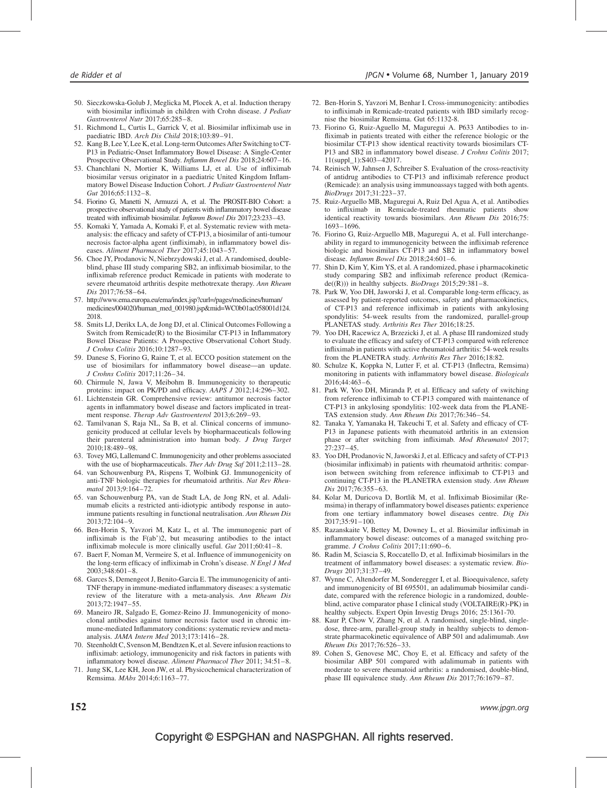- 50. Sieczkowska-Golub J, Meglicka M, Plocek A, et al. Induction therapy with biosimilar infliximab in children with Crohn disease. J Pediatr Gastroenterol Nutr 2017;65:285–8.
- 51. Richmond L, Curtis L, Garrick V, et al. Biosimilar infliximab use in paediatric IBD. Arch Dis Child 2018;103:89–91.
- 52. Kang B, Lee Y, Lee K, et al. Long-term Outcomes After Switching toCT-P13 in Pediatric-Onset Inflammatory Bowel Disease: A Single-Center Prospective Observational Study. Inflamm Bowel Dis 2018;24:607–16.
- 53. Chanchlani N, Mortier K, Williams LJ, et al. Use of infliximab biosimilar versus originator in a paediatric United Kingdom Inflammatory Bowel Disease Induction Cohort. J Pediatr Gastroenterol Nutr Gut 2016;65:1132–8.
- 54. Fiorino G, Manetti N, Armuzzi A, et al. The PROSIT-BIO Cohort: a prospective observational study of patients with inflammatory bowel disease treated with infliximab biosimilar. Inflamm Bowel Dis 2017;23:233–43.
- 55. Komaki Y, Yamada A, Komaki F, et al. Systematic review with metaanalysis: the efficacy and safety of CT-P13, a biosimilar of anti-tumour necrosis factor-alpha agent (infliximab), in inflammatory bowel diseases. Aliment Pharmacol Ther 2017;45:1043–57.
- 56. Choe JY, Prodanovic N, Niebrzydowski J, et al. A randomised, doubleblind, phase III study comparing SB2, an infliximab biosimilar, to the infliximab reference product Remicade in patients with moderate to severe rheumatoid arthritis despite methotrexate therapy. Ann Rheum Dis 2017;76:58–64.
- 57. [http://www.ema.europa.eu/ema/index.jsp?curl=/pages/medicines/human/](http://www.ema.europa.eu/ema/index.jsp?curl=/pages/medicines/human/medicines/004020/human_med_001980.jsp%26mid=WC0b01ac058001d124) [medicines/004020/human\\_med\\_001980.jsp&mid=WC0b01ac058001d124](http://www.ema.europa.eu/ema/index.jsp?curl=/pages/medicines/human/medicines/004020/human_med_001980.jsp%26mid=WC0b01ac058001d124). 2018.
- 58. Smits LJ, Derikx LA, de Jong DJ, et al. Clinical Outcomes Following a Switch from Remicade(R) to the Biosimilar CT-P13 in Inflammatory Bowel Disease Patients: A Prospective Observational Cohort Study. J Crohns Colitis 2016;10:1287–93.
- 59. Danese S, Fiorino G, Raine T, et al. ECCO position statement on the use of biosimilars for inflammatory bowel disease—an update. J Crohns Colitis 2017;11:26–34.
- 60. Chirmule N, Jawa V, Meibohm B. Immunogenicity to therapeutic proteins: impact on PK/PD and efficacy. AAPS J 2012;14:296–302.
- 61. Lichtenstein GR. Comprehensive review: antitumor necrosis factor agents in inflammatory bowel disease and factors implicated in treatment response. Therap Adv Gastroenterol 2013;6:269–93.
- 62. Tamilvanan S, Raja NL, Sa B, et al. Clinical concerns of immunogenicity produced at cellular levels by biopharmaceuticals following their parenteral administration into human body. J Drug Target 2010;18:489–98.
- 63. Tovey MG, Lallemand C. Immunogenicity and other problems associated with the use of biopharmaceuticals. Ther Adv Drug Saf 2011;2:113-28.
- 64. van Schouwenburg PA, Rispens T, Wolbink GJ. Immunogenicity of anti-TNF biologic therapies for rheumatoid arthritis. Nat Rev Rheumatol 2013;9:164–72.
- 65. van Schouwenburg PA, van de Stadt LA, de Jong RN, et al. Adalimumab elicits a restricted anti-idiotypic antibody response in autoimmune patients resulting in functional neutralisation. Ann Rheum Dis 2013;72:104–9.
- 66. Ben-Horin S, Yavzori M, Katz L, et al. The immunogenic part of infliximab is the F(ab')2, but measuring antibodies to the intact infliximab molecule is more clinically useful. Gut 2011;60:41–8.
- 67. Baert F, Noman M, Vermeire S, et al. Influence of immunogenicity on the long-term efficacy of infliximab in Crohn's disease. N Engl J Med 2003;348:601–8.
- 68. Garces S, Demengeot J, Benito-Garcia E. The immunogenicity of anti-TNF therapy in immune-mediated inflammatory diseases: a systematic review of the literature with a meta-analysis. Ann Rheum Dis 2013;72:1947–55.
- 69. Maneiro JR, Salgado E, Gomez-Reino JJ. Immunogenicity of monoclonal antibodies against tumor necrosis factor used in chronic immune-mediated Inflammatory conditions: systematic review and metaanalysis. JAMA Intern Med 2013;173:1416–28.
- 70. Steenholdt C, Svenson M, Bendtzen K, et al. Severe infusion reactions to infliximab: aetiology, immunogenicity and risk factors in patients with inflammatory bowel disease. Aliment Pharmacol Ther 2011; 34:51–8.
- 71. Jung SK, Lee KH, Jeon JW, et al. Physicochemical characterization of Remsima. MAbs 2014;6:1163–77.
- 72. Ben-Horin S, Yavzori M, Benhar I. Cross-immunogenicity: antibodies to infliximab in Remicade-treated patients with IBD similarly recognise the biosimilar Remsima. Gut 65:1132-8.
- 73. Fiorino G, Ruiz-Aguello M, Maguregui A. P633 Antibodies to infliximab in patients treated with either the reference biologic or the biosimilar CT-P13 show identical reactivity towards biosimilars CT-P13 and SB2 in inflammatory bowel disease. J Crohns Colitis 2017; 11(suppl\_1):S403–42017.
- 74. Reinisch W, Jahnsen J, Schreiber S. Evaluation of the cross-reactivity of antidrug antibodies to CT-P13 and infliximab reference product (Remicade): an analysis using immunoassays tagged with both agents. BioDrugs 2017;31:223–37.
- 75. Ruiz-Arguello MB, Maguregui A, Ruiz Del Agua A, et al. Antibodies to infliximab in Remicade-treated rheumatic patients show identical reactivity towards biosimilars. Ann Rheum Dis 2016;75: 1693–1696.
- 76. Fiorino G, Ruiz-Arguello MB, Maguregui A, et al. Full interchangeability in regard to immunogenicity between the infliximab reference biologic and biosimilars CT-P13 and SB2 in inflammatory bowel disease. Inflamm Bowel Dis 2018;24:601–6.
- 77. Shin D, Kim Y, Kim YS, et al. A randomized, phase i pharmacokinetic study comparing SB2 and infliximab reference product (Remica $de((R))$ ) in healthy subjects. *BioDrugs* 2015;29:381-8.
- 78. Park W, Yoo DH, Jaworski J, et al. Comparable long-term efficacy, as assessed by patient-reported outcomes, safety and pharmacokinetics, of CT-P13 and reference infliximab in patients with ankylosing spondylitis: 54-week results from the randomized, parallel-group PLANETAS study. Arthritis Res Ther 2016;18:25.
- 79. Yoo DH, Racewicz A, Brzezicki J, et al. A phase III randomized study to evaluate the efficacy and safety of CT-P13 compared with reference infliximab in patients with active rheumatoid arthritis: 54-week results from the PLANETRA study. Arthritis Res Ther 2016;18:82.
- 80. Schulze K, Koppka N, Lutter F, et al. CT-P13 (Inflectra, Remsima) monitoring in patients with inflammatory bowel disease. Biologicals 2016;44:463–6.
- 81. Park W, Yoo DH, Miranda P, et al. Efficacy and safety of switching from reference infliximab to CT-P13 compared with maintenance of CT-P13 in ankylosing spondylitis: 102-week data from the PLANE-TAS extension study. Ann Rheum Dis 2017;76:346–54.
- 82. Tanaka Y, Yamanaka H, Takeuchi T, et al. Safety and efficacy of CT-P13 in Japanese patients with rheumatoid arthritis in an extension phase or after switching from infliximab. Mod Rheumatol 2017; 27:237–45.
- 83. Yoo DH, Prodanovic N, Jaworski J, et al. Efficacy and safety of CT-P13 (biosimilar infliximab) in patients with rheumatoid arthritis: comparison between switching from reference infliximab to CT-P13 and continuing CT-P13 in the PLANETRA extension study. Ann Rheum Dis 2017;76:355–63.
- 84. Kolar M, Duricova D, Bortlik M, et al. Infliximab Biosimilar (Remsima) in therapy of inflammatory bowel diseases patients: experience from one tertiary inflammatory bowel diseases centre. Dig Dis 2017;35:91–100.
- 85. Razanskaite V, Bettey M, Downey L, et al. Biosimilar infliximab in inflammatory bowel disease: outcomes of a managed switching programme. J Crohns Colitis 2017;11:690–6.
- 86. Radin M, Sciascia S, Roccatello D, et al. Infliximab biosimilars in the treatment of inflammatory bowel diseases: a systematic review. Bio-Drugs 2017;31:37–49.
- 87. Wynne C, Altendorfer M, Sonderegger I, et al. Bioequivalence, safety and immunogenicity of BI 695501, an adalimumab biosimilar candidate, compared with the reference biologic in a randomized, doubleblind, active comparator phase I clinical study (VOLTAIRE(R)-PK) in healthy subjects. Expert Opin Investig Drugs 2016; 25:1361-70.
- 88. Kaur P, Chow V, Zhang N, et al. A randomised, single-blind, singledose, three-arm, parallel-group study in healthy subjects to demonstrate pharmacokinetic equivalence of ABP 501 and adalimumab. Ann Rheum Dis 2017;76:526–33.
- 89. Cohen S, Genovese MC, Choy E, et al. Efficacy and safety of the biosimilar ABP 501 compared with adalimumab in patients with moderate to severe rheumatoid arthritis: a randomised, double-blind, phase III equivalence study. Ann Rheum Dis 2017;76:1679–87.